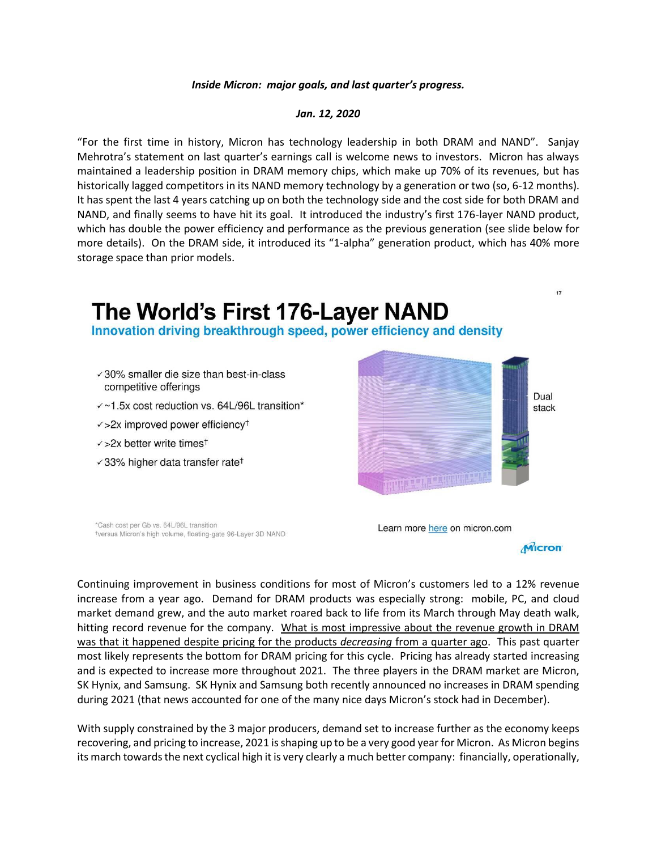## *Inside Micron: major goals, and last quarter's progress.*

## *Jan. 12, 2020*

"For the first time in history, Micron has technology leadership in both DRAM and NAND". Sanjay Mehrotra's statement on last quarter's earnings call is welcome news to investors. Micron has always maintained a leadership position in DRAM memory chips, which make up 70% of its revenues, but has historically lagged competitors in its NAND memory technology by a generation or two (so, 6-12 months). It has spent the last 4 years catching up on both the technology side and the cost side for both DRAM and NAND, and finally seems to have hit its goal. It introduced the industry's first 176-layer NAND product, which has double the power efficiency and performance as the previous generation (see slide below for more details). On the DRAM side, it introduced its "1-alpha" generation product, which has 40% more storage space than prior models.

## The World's First 176-Layer NAND

Innovation driving breakthrough speed, power efficiency and density

- $\sqrt{30\%}$  smaller die size than best-in-class competitive offerings
- $\sqrt{1.5x}$  cost reduction vs. 64L/96L transition\*
- $\sqrt{2x}$  improved power efficiency<sup>+</sup>
- $\checkmark$  >2x better write times<sup>t</sup>
- $\sqrt{33\%}$  higher data transfer rate<sup>†</sup>



\*Cash cost per Gb vs. 64L/96L transition \*versus Micron's high volume, floating-gate 96-Layer 3D NAND

Learn more here on micron.com



 $17$ 

Continuing improvement in business conditions for most of Micron's customers led to a 12% revenue increase from a year ago. Demand for DRAM products was especially strong: mobile, PC, and cloud market demand grew, and the auto market roared back to life from its March through May death walk, hitting record revenue for the company. What is most impressive about the revenue growth in DRAM was that it happened despite pricing for the products *decreasing* from a quarter ago. This past quarter most likely represents the bottom for DRAM pricing for this cycle. Pricing has already started increasing and is expected to increase more throughout 2021. The three players in the DRAM market are Micron, SK Hynix, and Samsung. SK Hynix and Samsung both recently announced no increases in DRAM spending during 2021 (that news accounted for one of the many nice days Micron's stock had in December).

With supply constrained by the 3 major producers, demand set to increase further as the economy keeps recovering, and pricing to increase, 2021 is shaping up to be a very good year for Micron. As Micron begins its march towards the next cyclical high it is very clearly a much better company: financially, operationally,